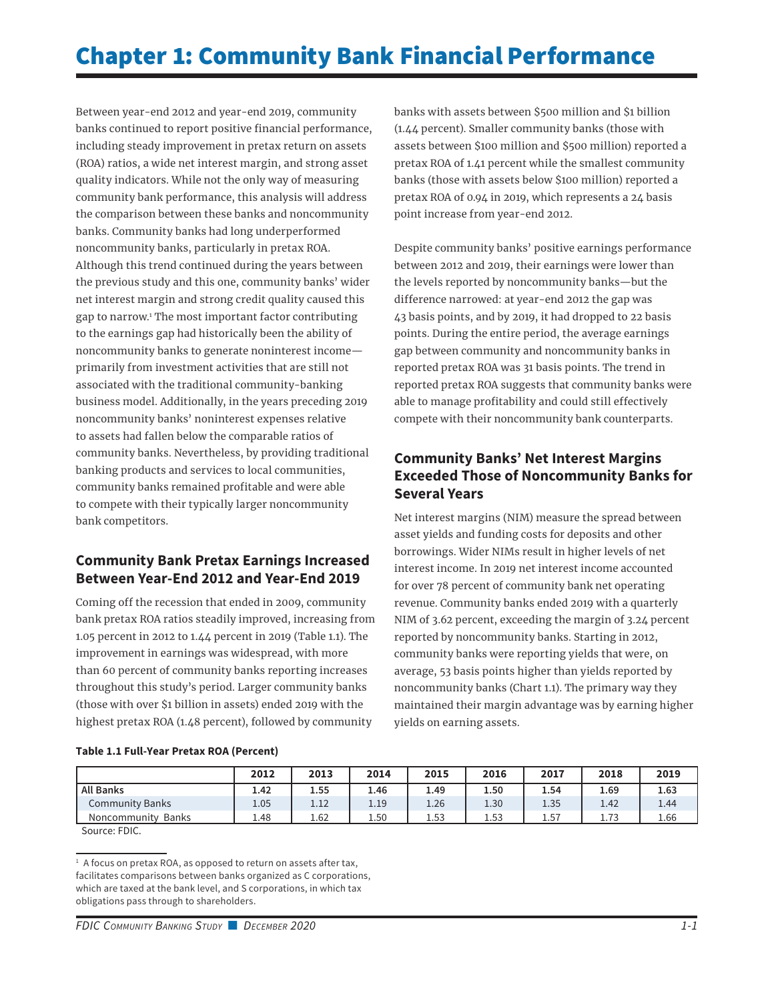# Chapter 1: Community Bank Financial Performance

Between year-end 2012 and year-end 2019, community banks continued to report positive financial performance, including steady improvement in pretax return on assets (ROA) ratios, a wide net interest margin, and strong asset quality indicators. While not the only way of measuring community bank performance, this analysis will address the comparison between these banks and noncommunity banks. Community banks had long underperformed noncommunity banks, particularly in pretax ROA. Although this trend continued during the years between the previous study and this one, community banks' wider net interest margin and strong credit quality caused this gap to narrow.1 The most important factor contributing to the earnings gap had historically been the ability of noncommunity banks to generate noninterest income primarily from investment activities that are still not associated with the traditional community-banking business model. Additionally, in the years preceding 2019 noncommunity banks' noninterest expenses relative to assets had fallen below the comparable ratios of community banks. Nevertheless, by providing traditional banking products and services to local communities, community banks remained profitable and were able to compete with their typically larger noncommunity bank competitors.

### **Community Bank Pretax Earnings Increased Between Year-End 2012 and Year-End 2019**

Coming off the recession that ended in 2009, community bank pretax ROA ratios steadily improved, increasing from 1.05 percent in 2012 to 1.44 percent in 2019 (Table 1.1). The improvement in earnings was widespread, with more than 60 percent of community banks reporting increases throughout this study's period. Larger community banks (those with over \$1 billion in assets) ended 2019 with the highest pretax ROA (1.48 percent), followed by community

banks with assets between \$500 million and \$1 billion (1.44 percent). Smaller community banks (those with assets between \$100 million and \$500 million) reported a pretax ROA of 1.41 percent while the smallest community banks (those with assets below \$100 million) reported a pretax ROA of 0.94 in 2019, which represents a 24 basis point increase from year-end 2012.

Despite community banks' positive earnings performance between 2012 and 2019, their earnings were lower than the levels reported by noncommunity banks—but the difference narrowed: at year-end 2012 the gap was 43 basis points, and by 2019, it had dropped to 22 basis points. During the entire period, the average earnings gap between community and noncommunity banks in reported pretax ROA was 31 basis points. The trend in reported pretax ROA suggests that community banks were able to manage profitability and could still effectively compete with their noncommunity bank counterparts.

# **Community Banks' Net Interest Margins Exceeded Those of Noncommunity Banks for Several Years**

Net interest margins (NIM) measure the spread between asset yields and funding costs for deposits and other borrowings. Wider NIMs result in higher levels of net interest income. In 2019 net interest income accounted for over 78 percent of community bank net operating revenue. Community banks ended 2019 with a quarterly NIM of 3.62 percent, exceeding the margin of 3.24 percent reported by noncommunity banks. Starting in 2012, community banks were reporting yields that were, on average, 53 basis points higher than yields reported by noncommunity banks (Chart 1.1). The primary way they maintained their margin advantage was by earning higher yields on earning assets.

|                              | 2012 | 2013 | 2014 | 2015 | 2016 | 2017 | 2018 | 2019 |
|------------------------------|------|------|------|------|------|------|------|------|
| <b>All Banks</b>             | 1.42 | 1.55 | 1.46 | 1.49 | 1.50 | 1.54 | 1.69 | 1.63 |
| Community Banks              | 1.05 | 1.12 | 1.19 | 1.26 | 1.30 | 1.35 | 1.42 | 1.44 |
| <b>Banks</b><br>Noncommunity | 1.48 | 1.62 | 1.50 | 1.53 | 1.53 | 1.57 | 1.73 | 1.66 |

Source: FDIC.

**Table 1.1 Full-Year Pretax ROA (Percent)**

<sup>&</sup>lt;sup>1</sup> A focus on pretax ROA, as opposed to return on assets after tax, facilitates comparisons between banks organized as C corporations, which are taxed at the bank level, and S corporations, in which tax obligations pass through to shareholders.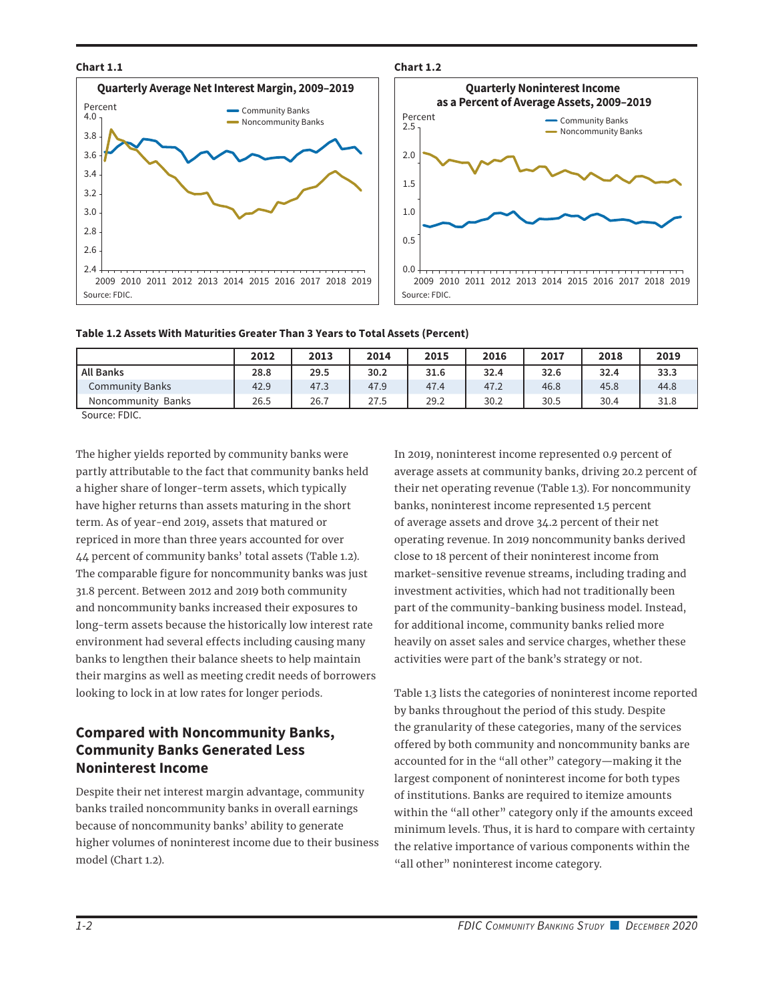#### **Chart 1.1**





#### **Table 1.2 Assets With Maturities Greater Than 3 Years to Total Assets (Percent)**

|                              | 2012 | 2013 | 2014 | 2015 | 2016 | 2017 | 2018 | 2019 |
|------------------------------|------|------|------|------|------|------|------|------|
| <b>All Banks</b>             | 28.8 | 29.5 | 30.2 | 31.6 | 32.4 | 32.6 | 32.4 | 33.3 |
| Community Banks              | 42.9 | 47.3 | 47.9 | 47.4 | 47.2 | 46.8 | 45.8 | 44.8 |
| <b>Banks</b><br>Noncommunity | 26.5 | 26.7 | 27.5 | 29.2 | 30.2 | 30.5 | 30.4 | 31.8 |

Source: FDIC.

The higher yields reported by community banks were partly attributable to the fact that community banks held a higher share of longer-term assets, which typically have higher returns than assets maturing in the short term. As of year-end 2019, assets that matured or repriced in more than three years accounted for over 44 percent of community banks' total assets (Table 1.2). The comparable figure for noncommunity banks was just 31.8 percent. Between 2012 and 2019 both community and noncommunity banks increased their exposures to long-term assets because the historically low interest rate environment had several effects including causing many banks to lengthen their balance sheets to help maintain their margins as well as meeting credit needs of borrowers looking to lock in at low rates for longer periods.

## **Compared with Noncommunity Banks, Community Banks Generated Less Noninterest Income**

Despite their net interest margin advantage, community banks trailed noncommunity banks in overall earnings because of noncommunity banks' ability to generate higher volumes of noninterest income due to their business model (Chart 1.2).

In 2019, noninterest income represented 0.9 percent of average assets at community banks, driving 20.2 percent of their net operating revenue (Table 1.3). For noncommunity banks, noninterest income represented 1.5 percent of average assets and drove 34.2 percent of their net operating revenue. In 2019 noncommunity banks derived close to 18 percent of their noninterest income from market-sensitive revenue streams, including trading and investment activities, which had not traditionally been part of the community-banking business model. Instead, for additional income, community banks relied more heavily on asset sales and service charges, whether these activities were part of the bank's strategy or not.

Table 1.3 lists the categories of noninterest income reported by banks throughout the period of this study. Despite the granularity of these categories, many of the services offered by both community and noncommunity banks are accounted for in the "all other" category—making it the largest component of noninterest income for both types of institutions. Banks are required to itemize amounts within the "all other" category only if the amounts exceed minimum levels. Thus, it is hard to compare with certainty the relative importance of various components within the "all other" noninterest income category.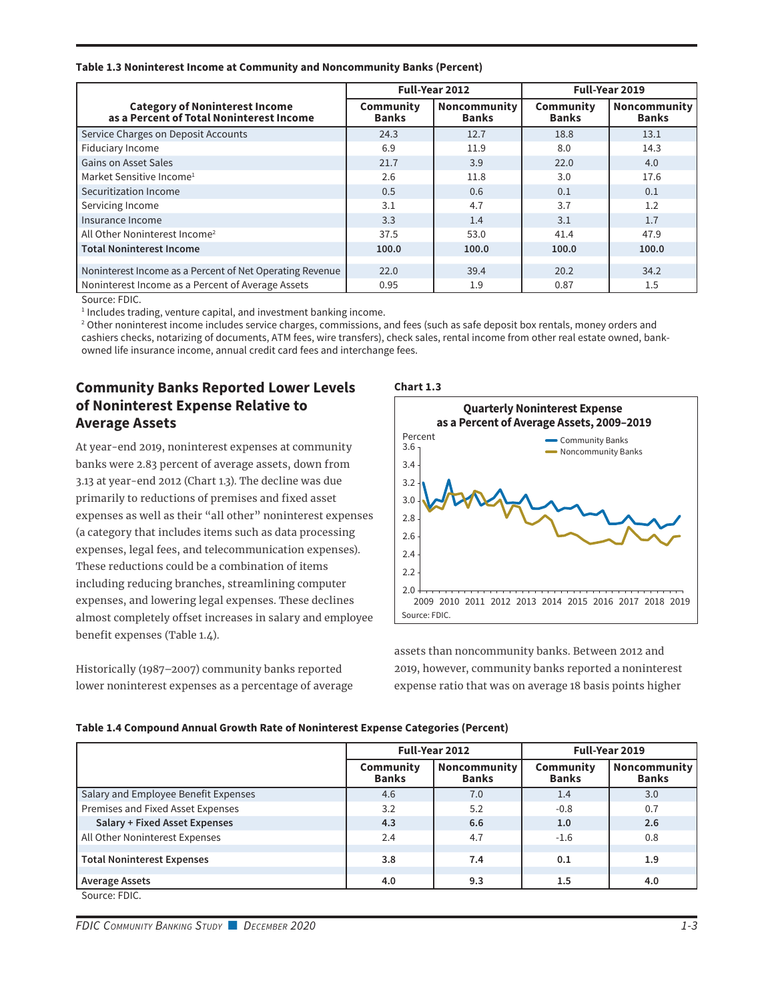#### **Table 1.3 Noninterest Income at Community and Noncommunity Banks (Percent)**

|                                                                                   | Full-Year 2012            |                              | Full-Year 2019            |                                     |  |
|-----------------------------------------------------------------------------------|---------------------------|------------------------------|---------------------------|-------------------------------------|--|
| <b>Category of Noninterest Income</b><br>as a Percent of Total Noninterest Income | Community<br><b>Banks</b> | Noncommunity<br><b>Banks</b> | Community<br><b>Banks</b> | <b>Noncommunity</b><br><b>Banks</b> |  |
| Service Charges on Deposit Accounts                                               | 24.3                      | 12.7                         | 18.8                      | 13.1                                |  |
| Fiduciary Income                                                                  | 6.9                       | 11.9                         | 8.0                       | 14.3                                |  |
| <b>Gains on Asset Sales</b>                                                       | 21.7                      | 3.9                          | 22.0                      | 4.0                                 |  |
| Market Sensitive Income <sup>1</sup>                                              | 2.6                       | 11.8                         | 3.0                       | 17.6                                |  |
| Securitization Income                                                             | 0.5                       | 0.6                          | 0.1                       | 0.1                                 |  |
| Servicing Income                                                                  | 3.1                       | 4.7                          | 3.7                       | 1.2                                 |  |
| Insurance Income                                                                  | 3.3                       | 1.4                          | 3.1                       | 1.7                                 |  |
| All Other Noninterest Income <sup>2</sup>                                         | 37.5                      | 53.0                         | 41.4                      | 47.9                                |  |
| <b>Total Noninterest Income</b>                                                   | 100.0                     | 100.0                        | 100.0                     | 100.0                               |  |
|                                                                                   |                           |                              |                           |                                     |  |
| Noninterest Income as a Percent of Net Operating Revenue                          | 22.0                      | 39.4                         | 20.2                      | 34.2                                |  |
| Noninterest Income as a Percent of Average Assets                                 | 0.95                      | 1.9                          | 0.87                      | 1.5                                 |  |

Source: FDIC.

<sup>1</sup> Includes trading, venture capital, and investment banking income.

2 Other noninterest income includes service charges, commissions, and fees (such as safe deposit box rentals, money orders and cashiers checks, notarizing of documents, ATM fees, wire transfers), check sales, rental income from other real estate owned, bankowned life insurance income, annual credit card fees and interchange fees.

# **Community Banks Reported Lower Levels of Noninterest Expense Relative to Average Assets**

At year-end 2019, noninterest expenses at community banks were 2.83 percent of average assets, down from 3.13 at year-end 2012 (Chart 1.3). The decline was due primarily to reductions of premises and fixed asset expenses as well as their "all other" noninterest expenses (a category that includes items such as data processing expenses, legal fees, and telecommunication expenses). These reductions could be a combination of items including reducing branches, streamlining computer expenses, and lowering legal expenses. These declines almost completely offset increases in salary and employee benefit expenses (Table 1.4).

Historically (1987–2007) community banks reported lower noninterest expenses as a percentage of average



assets than noncommunity banks. Between 2012 and 2019, however, community banks reported a noninterest expense ratio that was on average 18 basis points higher

|  |  | Table 1.4 Compound Annual Growth Rate of Noninterest Expense Categories (Percent) |
|--|--|-----------------------------------------------------------------------------------|
|--|--|-----------------------------------------------------------------------------------|

|                                      |                           | Full-Year 2012                      | Full-Year 2019            |                              |  |
|--------------------------------------|---------------------------|-------------------------------------|---------------------------|------------------------------|--|
|                                      | Community<br><b>Banks</b> | <b>Noncommunity</b><br><b>Banks</b> | Community<br><b>Banks</b> | Noncommunity<br><b>Banks</b> |  |
| Salary and Employee Benefit Expenses | 4.6                       | 7.0                                 | 1.4                       | 3.0                          |  |
| Premises and Fixed Asset Expenses    | 3.2                       | 5.2                                 | $-0.8$                    | 0.7                          |  |
| <b>Salary + Fixed Asset Expenses</b> | 4.3                       | 6.6                                 | 1.0                       | 2.6                          |  |
| All Other Noninterest Expenses       | 2.4                       | 4.7                                 | $-1.6$                    | 0.8                          |  |
| <b>Total Noninterest Expenses</b>    | 3.8                       | 7.4                                 | 0.1                       | 1.9                          |  |
| <b>Average Assets</b>                | 4.0                       | 9.3                                 | 1.5                       | 4.0                          |  |
| Source: EDIC                         |                           |                                     |                           |                              |  |

Source: FDIC.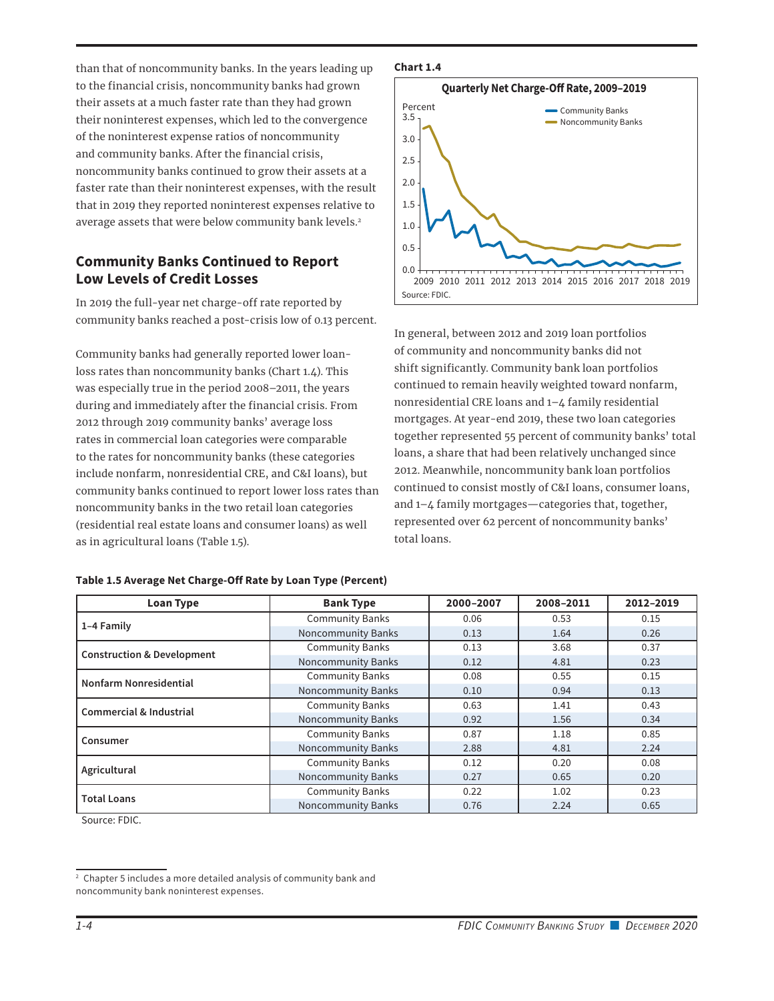than that of noncommunity banks. In the years leading up to the financial crisis, noncommunity banks had grown their assets at a much faster rate than they had grown their noninterest expenses, which led to the convergence of the noninterest expense ratios of noncommunity and community banks. After the financial crisis, noncommunity banks continued to grow their assets at a faster rate than their noninterest expenses, with the result that in 2019 they reported noninterest expenses relative to average assets that were below community bank levels.<sup>2</sup>

# **Community Banks Continued to Report Low Levels of Credit Losses**

In 2019 the full-year net charge-off rate reported by community banks reached a post-crisis low of 0.13 percent.

Community banks had generally reported lower loanloss rates than noncommunity banks (Chart 1.4). This was especially true in the period 2008–2011, the years during and immediately after the financial crisis. From 2012 through 2019 community banks' average loss rates in commercial loan categories were comparable to the rates for noncommunity banks (these categories include nonfarm, nonresidential CRE, and C&I loans), but community banks continued to report lower loss rates than noncommunity banks in the two retail loan categories (residential real estate loans and consumer loans) as well as in agricultural loans (Table 1.5).

| <b>Loan Type</b>                      | <b>Bank Type</b>          | 2000-2007 | 2008-2011 | 2012-2019 |  |  |
|---------------------------------------|---------------------------|-----------|-----------|-----------|--|--|
|                                       | <b>Community Banks</b>    | 0.06      | 0.53      | 0.15      |  |  |
| 1-4 Family                            | <b>Noncommunity Banks</b> | 0.13      | 1.64      | 0.26      |  |  |
| <b>Construction &amp; Development</b> | <b>Community Banks</b>    | 0.13      | 3.68      | 0.37      |  |  |
|                                       | <b>Noncommunity Banks</b> | 0.12      | 4.81      | 0.23      |  |  |
| Nonfarm Nonresidential                | <b>Community Banks</b>    | 0.08      | 0.55      | 0.15      |  |  |
|                                       | <b>Noncommunity Banks</b> | 0.10      | 0.94      | 0.13      |  |  |
| <b>Commercial &amp; Industrial</b>    | <b>Community Banks</b>    | 0.63      | 1.41      | 0.43      |  |  |
|                                       | <b>Noncommunity Banks</b> | 0.92      | 1.56      | 0.34      |  |  |
|                                       | <b>Community Banks</b>    | 0.87      | 1.18      | 0.85      |  |  |
| Consumer                              | <b>Noncommunity Banks</b> | 2.88      | 4.81      | 2.24      |  |  |
|                                       | <b>Community Banks</b>    | 0.12      | 0.20      | 0.08      |  |  |
| Agricultural                          | <b>Noncommunity Banks</b> | 0.27      | 0.65      | 0.20      |  |  |
|                                       | <b>Community Banks</b>    | 0.22      | 1.02      | 0.23      |  |  |
| <b>Total Loans</b>                    | <b>Noncommunity Banks</b> | 0.76      | 2.24      | 0.65      |  |  |

### **Table 1.5 Average Net Charge-Off Rate by Loan Type (Percent)**

Source: FDIC.

#### **Chart 1.4**



In general, between 2012 and 2019 loan portfolios of community and noncommunity banks did not shift significantly. Community bank loan portfolios continued to remain heavily weighted toward nonfarm, nonresidential CRE loans and 1–4 family residential mortgages. At year-end 2019, these two loan categories together represented 55 percent of community banks' total loans, a share that had been relatively unchanged since 2012. Meanwhile, noncommunity bank loan portfolios continued to consist mostly of C&I loans, consumer loans, and 1–4 family mortgages—categories that, together, represented over 62 percent of noncommunity banks' total loans.

<sup>&</sup>lt;sup>2</sup> Chapter 5 includes a more detailed analysis of community bank and noncommunity bank noninterest expenses.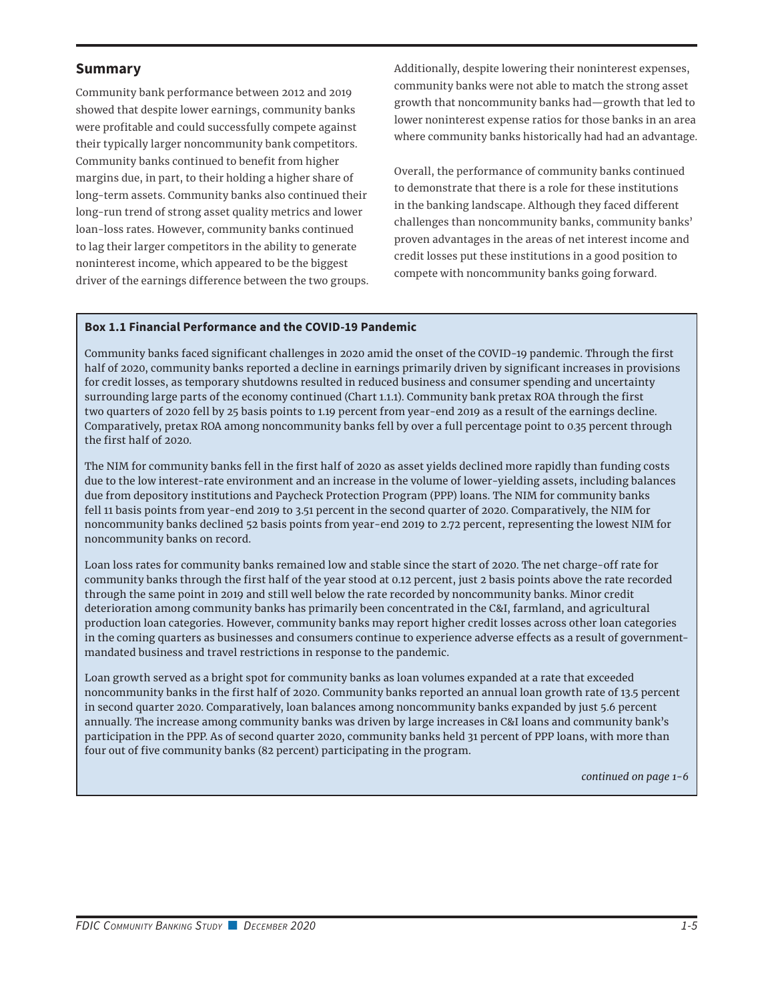### **Summary**

Community bank performance between 2012 and 2019 showed that despite lower earnings, community banks were profitable and could successfully compete against their typically larger noncommunity bank competitors. Community banks continued to benefit from higher margins due, in part, to their holding a higher share of long-term assets. Community banks also continued their long-run trend of strong asset quality metrics and lower loan-loss rates. However, community banks continued to lag their larger competitors in the ability to generate noninterest income, which appeared to be the biggest driver of the earnings difference between the two groups. Additionally, despite lowering their noninterest expenses, community banks were not able to match the strong asset growth that noncommunity banks had—growth that led to lower noninterest expense ratios for those banks in an area where community banks historically had had an advantage.

Overall, the performance of community banks continued to demonstrate that there is a role for these institutions in the banking landscape. Although they faced different challenges than noncommunity banks, community banks' proven advantages in the areas of net interest income and credit losses put these institutions in a good position to compete with noncommunity banks going forward.

### **Box 1.1 Financial Performance and the COVID-19 Pandemic**

Community banks faced significant challenges in 2020 amid the onset of the COVID-19 pandemic. Through the first half of 2020, community banks reported a decline in earnings primarily driven by significant increases in provisions for credit losses, as temporary shutdowns resulted in reduced business and consumer spending and uncertainty surrounding large parts of the economy continued (Chart 1.1.1). Community bank pretax ROA through the first two quarters of 2020 fell by 25 basis points to 1.19 percent from year-end 2019 as a result of the earnings decline. Comparatively, pretax ROA among noncommunity banks fell by over a full percentage point to 0.35 percent through the first half of 2020.

The NIM for community banks fell in the first half of 2020 as asset yields declined more rapidly than funding costs due to the low interest-rate environment and an increase in the volume of lower-yielding assets, including balances due from depository institutions and Paycheck Protection Program (PPP) loans. The NIM for community banks fell 11 basis points from year-end 2019 to 3.51 percent in the second quarter of 2020. Comparatively, the NIM for noncommunity banks declined 52 basis points from year-end 2019 to 2.72 percent, representing the lowest NIM for noncommunity banks on record.

Loan loss rates for community banks remained low and stable since the start of 2020. The net charge-off rate for community banks through the first half of the year stood at 0.12 percent, just 2 basis points above the rate recorded through the same point in 2019 and still well below the rate recorded by noncommunity banks. Minor credit deterioration among community banks has primarily been concentrated in the C&I, farmland, and agricultural production loan categories. However, community banks may report higher credit losses across other loan categories in the coming quarters as businesses and consumers continue to experience adverse effects as a result of governmentmandated business and travel restrictions in response to the pandemic.

Loan growth served as a bright spot for community banks as loan volumes expanded at a rate that exceeded noncommunity banks in the first half of 2020. Community banks reported an annual loan growth rate of 13.5 percent in second quarter 2020. Comparatively, loan balances among noncommunity banks expanded by just 5.6 percent annually. The increase among community banks was driven by large increases in C&I loans and community bank's participation in the PPP. As of second quarter 2020, community banks held 31 percent of PPP loans, with more than four out of five community banks (82 percent) participating in the program.

*continued on page 1-6*